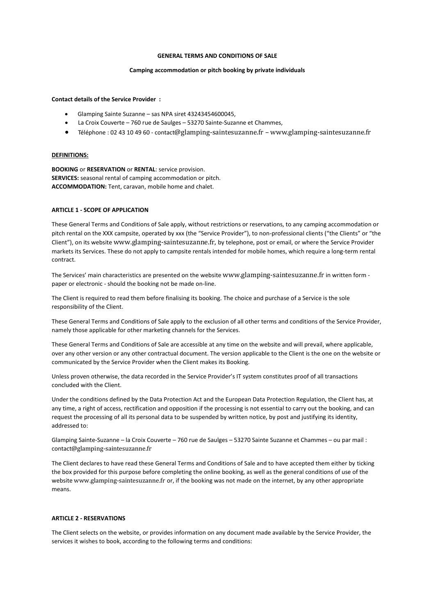### **GENERAL TERMS AND CONDITIONS OF SALE**

#### **Camping accommodation or pitch booking by private individuals**

**Contact details of the Service Provider :**

- Glamping Sainte Suzanne sas NPA siret 43243454600045,
- La Croix Couverte 760 rue de Saulges 53270 Sainte-Suzanne et Chammes,
- Téléphone : 02 43 10 49 60 [contact](mailto:contact@glamping-saintesuzanne.fr)[@glamping-saintesuzanne.fr](mailto:contact@glamping-saintesuzanne.fr) www.glamping-saintesuzanne.fr

#### **DEFINITIONS:**

**BOOKING** or **RESERVATION** or **RENTAL**: service provision. **SERVICES:** seasonal rental of camping accommodation or pitch. **ACCOMMODATION:** Tent, caravan, mobile home and chalet.

### **ARTICLE 1 - SCOPE OF APPLICATION**

These General Terms and Conditions of Sale apply, without restrictions or reservations, to any camping accommodation or pitch rental on the XXX campsite, operated by xxx (the "Service Provider"), to non-professional clients ("the Clients" or "the Client"), on its website www.glamping-saintesuzanne.fr, by telephone, post or email, or where the Service Provider markets its Services. These do not apply to campsite rentals intended for mobile homes, which require a long-term rental contract.

The Services' main characteristics are presented on the website www.glamping-saintesuzanne.fr in written form paper or electronic - should the booking not be made on-line.

The Client is required to read them before finalising its booking. The choice and purchase of a Service is the sole responsibility of the Client.

These General Terms and Conditions of Sale apply to the exclusion of all other terms and conditions of the Service Provider, namely those applicable for other marketing channels for the Services.

These General Terms and Conditions of Sale are accessible at any time on the website and will prevail, where applicable, over any other version or any other contractual document. The version applicable to the Client is the one on the website or communicated by the Service Provider when the Client makes its Booking.

Unless proven otherwise, the data recorded in the Service Provider's IT system constitutes proof of all transactions concluded with the Client.

Under the conditions defined by the Data Protection Act and the European Data Protection Regulation, the Client has, at any time, a right of access, rectification and opposition if the processing is not essential to carry out the booking, and can request the processing of all its personal data to be suspended by written notice, by post and justifying its identity, addressed to:

Glamping Sainte-Suzanne – la Croix Couverte – 760 rue de Saulges – 53270 Sainte Suzanne et Chammes – ou par mail : [contact](mailto:contact@glamping-saintesuzanne.fr)[@glamping-saintesuzanne.fr](mailto:contact@glamping-saintesuzanne.fr)

The Client declares to have read these General Terms and Conditions of Sale and to have accepted them either by ticking the box provided for this purpose before completing the online booking, as well as the general conditions of use of the website [www.glamping-saintesuzanne.fr](http://www.glamping-saintesuzanne.fr/) or, if the booking was not made on the internet, by any other appropriate means.

## **ARTICLE 2 - RESERVATIONS**

The Client selects on the website, or provides information on any document made available by the Service Provider, the services it wishes to book, according to the following terms and conditions: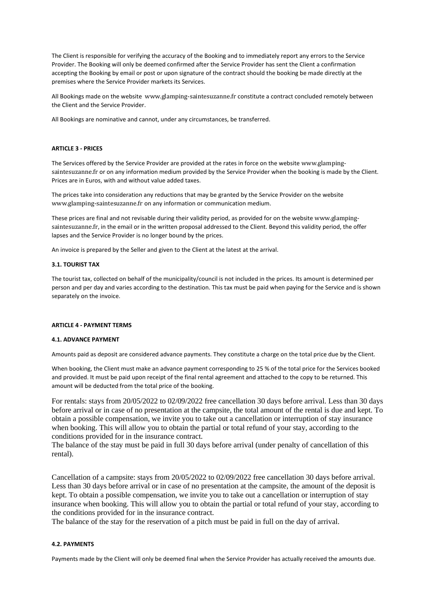The Client is responsible for verifying the accuracy of the Booking and to immediately report any errors to the Service Provider. The Booking will only be deemed confirmed after the Service Provider has sent the Client a confirmation accepting the Booking by email or post or upon signature of the contract should the booking be made directly at the premises where the Service Provider markets its Services.

All Bookings made on the website [www.glamping-saintesuzanne.fr](http://www.glamping-saintesuzanne.fr/) constitute a contract concluded remotely between the Client and the Service Provider.

All Bookings are nominative and cannot, under any circumstances, be transferred.

# **ARTICLE 3 - PRICES**

The Services offered by the Service Provider are provided at the rates in force on the website [www.glamping](http://www.glamping-saintesuzanne.fr/)[saintesuzanne.fr](http://www.glamping-saintesuzanne.fr/) or on any information medium provided by the Service Provider when the booking is made by the Client. Prices are in Euros, with and without value added taxes.

The prices take into consideration any reductions that may be granted by the Service Provider on the website [www.glamping-saintesuzanne.fr](http://www.glamping-saintesuzanne.fr/) on any information or communication medium.

These prices are final and not revisable during their validity period, as provided for on the website [www.glamping](http://www.glamping-saintesuzanne.fr/)[saintesuzanne.fr,](http://www.glamping-saintesuzanne.fr/) in the email or in the written proposal addressed to the Client. Beyond this validity period, the offer lapses and the Service Provider is no longer bound by the prices.

An invoice is prepared by the Seller and given to the Client at the latest at the arrival.

### **3.1. TOURIST TAX**

The tourist tax, collected on behalf of the municipality/council is not included in the prices. Its amount is determined per person and per day and varies according to the destination. This tax must be paid when paying for the Service and is shown separately on the invoice.

### **ARTICLE 4 - PAYMENT TERMS**

#### **4.1. ADVANCE PAYMENT**

Amounts paid as deposit are considered advance payments. They constitute a charge on the total price due by the Client.

When booking, the Client must make an advance payment corresponding to 25 % of the total price for the Services booked and provided. It must be paid upon receipt of the final rental agreement and attached to the copy to be returned. This amount will be deducted from the total price of the booking.

For rentals: stays from 20/05/2022 to 02/09/2022 free cancellation 30 days before arrival. Less than 30 days before arrival or in case of no presentation at the campsite, the total amount of the rental is due and kept. To obtain a possible compensation, we invite you to take out a cancellation or interruption of stay insurance when booking. This will allow you to obtain the partial or total refund of your stay, according to the conditions provided for in the insurance contract.

The balance of the stay must be paid in full 30 days before arrival (under penalty of cancellation of this rental).

Cancellation of a campsite: stays from 20/05/2022 to 02/09/2022 free cancellation 30 days before arrival. Less than 30 days before arrival or in case of no presentation at the campsite, the amount of the deposit is kept. To obtain a possible compensation, we invite you to take out a cancellation or interruption of stay insurance when booking. This will allow you to obtain the partial or total refund of your stay, according to the conditions provided for in the insurance contract.

The balance of the stay for the reservation of a pitch must be paid in full on the day of arrival.

## **4.2. PAYMENTS**

Payments made by the Client will only be deemed final when the Service Provider has actually received the amounts due.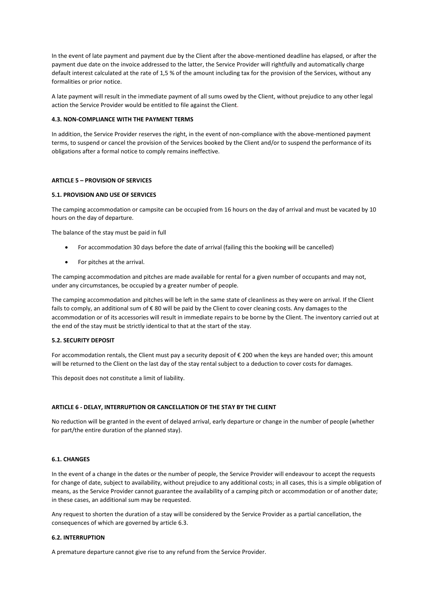In the event of late payment and payment due by the Client after the above-mentioned deadline has elapsed, or after the payment due date on the invoice addressed to the latter, the Service Provider will rightfully and automatically charge default interest calculated at the rate of 1,5 % of the amount including tax for the provision of the Services, without any formalities or prior notice.

A late payment will result in the immediate payment of all sums owed by the Client, without prejudice to any other legal action the Service Provider would be entitled to file against the Client.

### **4.3. NON-COMPLIANCE WITH THE PAYMENT TERMS**

In addition, the Service Provider reserves the right, in the event of non-compliance with the above-mentioned payment terms, to suspend or cancel the provision of the Services booked by the Client and/or to suspend the performance of its obligations after a formal notice to comply remains ineffective.

### **ARTICLE 5 – PROVISION OF SERVICES**

### **5.1. PROVISION AND USE OF SERVICES**

The camping accommodation or campsite can be occupied from 16 hours on the day of arrival and must be vacated by 10 hours on the day of departure.

The balance of the stay must be paid in full

- For accommodation 30 days before the date of arrival (failing this the booking will be cancelled)
- For pitches at the arrival.

The camping accommodation and pitches are made available for rental for a given number of occupants and may not, under any circumstances, be occupied by a greater number of people.

The camping accommodation and pitches will be left in the same state of cleanliness as they were on arrival. If the Client fails to comply, an additional sum of € 80 will be paid by the Client to cover cleaning costs. Any damages to the accommodation or of its accessories will result in immediate repairs to be borne by the Client. The inventory carried out at the end of the stay must be strictly identical to that at the start of the stay.

#### **5.2. SECURITY DEPOSIT**

For accommodation rentals, the Client must pay a security deposit of  $\epsilon$  200 when the keys are handed over; this amount will be returned to the Client on the last day of the stay rental subject to a deduction to cover costs for damages.

This deposit does not constitute a limit of liability.

## **ARTICLE 6 - DELAY, INTERRUPTION OR CANCELLATION OF THE STAY BY THE CLIENT**

No reduction will be granted in the event of delayed arrival, early departure or change in the number of people (whether for part/the entire duration of the planned stay).

## **6.1. CHANGES**

In the event of a change in the dates or the number of people, the Service Provider will endeavour to accept the requests for change of date, subject to availability, without prejudice to any additional costs; in all cases, this is a simple obligation of means, as the Service Provider cannot guarantee the availability of a camping pitch or accommodation or of another date; in these cases, an additional sum may be requested.

Any request to shorten the duration of a stay will be considered by the Service Provider as a partial cancellation, the consequences of which are governed by article 6.3.

#### **6.2. INTERRUPTION**

A premature departure cannot give rise to any refund from the Service Provider.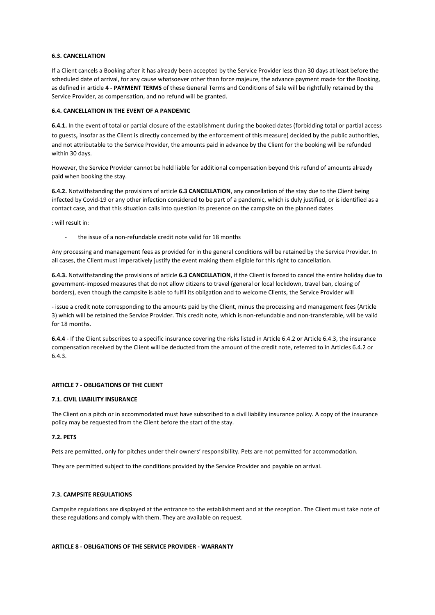## **6.3. CANCELLATION**

If a Client cancels a Booking after it has already been accepted by the Service Provider less than 30 days at least before the scheduled date of arrival, for any cause whatsoever other than force majeure, the advance payment made for the Booking, as defined in article **4 - PAYMENT TERMS** of these General Terms and Conditions of Sale will be rightfully retained by the Service Provider, as compensation, and no refund will be granted.

### **6.4. CANCELLATION IN THE EVENT OF A PANDEMIC**

**6.4.1.** In the event of total or partial closure of the establishment during the booked dates (forbidding total or partial access to guests, insofar as the Client is directly concerned by the enforcement of this measure) decided by the public authorities, and not attributable to the Service Provider, the amounts paid in advance by the Client for the booking will be refunded within 30 days.

However, the Service Provider cannot be held liable for additional compensation beyond this refund of amounts already paid when booking the stay.

**6.4.2.** Notwithstanding the provisions of article **6.3 CANCELLATION**, any cancellation of the stay due to the Client being infected by Covid-19 or any other infection considered to be part of a pandemic, which is duly justified, or is identified as a contact case, and that this situation calls into question its presence on the campsite on the planned dates

: will result in:

the issue of a non-refundable credit note valid for 18 months

Any processing and management fees as provided for in the general conditions will be retained by the Service Provider. In all cases, the Client must imperatively justify the event making them eligible for this right to cancellation.

**6.4.3.** Notwithstanding the provisions of article **6.3 CANCELLATION**, if the Client is forced to cancel the entire holiday due to government-imposed measures that do not allow citizens to travel (general or local lockdown, travel ban, closing of borders), even though the campsite is able to fulfil its obligation and to welcome Clients, the Service Provider will

- issue a credit note corresponding to the amounts paid by the Client, minus the processing and management fees (Article 3) which will be retained the Service Provider. This credit note, which is non-refundable and non-transferable, will be valid for 18 months.

**6.4.4** - If the Client subscribes to a specific insurance covering the risks listed in Article 6.4.2 or Article 6.4.3, the insurance compensation received by the Client will be deducted from the amount of the credit note, referred to in Articles 6.4.2 or 6.4.3.

## **ARTICLE 7 - OBLIGATIONS OF THE CLIENT**

#### **7.1. CIVIL LIABILITY INSURANCE**

The Client on a pitch or in accommodated must have subscribed to a civil liability insurance policy. A copy of the insurance policy may be requested from the Client before the start of the stay.

# **7.2. PETS**

Pets are permitted, only for pitches under their owners' responsibility. Pets are not permitted for accommodation.

They are permitted subject to the conditions provided by the Service Provider and payable on arrival.

## **7.3. CAMPSITE REGULATIONS**

Campsite regulations are displayed at the entrance to the establishment and at the reception. The Client must take note of these regulations and comply with them. They are available on request.

### **ARTICLE 8 - OBLIGATIONS OF THE SERVICE PROVIDER - WARRANTY**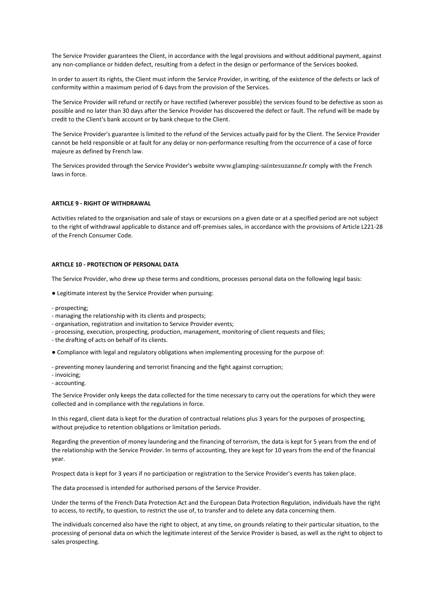The Service Provider guarantees the Client, in accordance with the legal provisions and without additional payment, against any non-compliance or hidden defect, resulting from a defect in the design or performance of the Services booked.

In order to assert its rights, the Client must inform the Service Provider, in writing, of the existence of the defects or lack of conformity within a maximum period of 6 days from the provision of the Services.

The Service Provider will refund or rectify or have rectified (wherever possible) the services found to be defective as soon as possible and no later than 30 days after the Service Provider has discovered the defect or fault. The refund will be made by credit to the Client's bank account or by bank cheque to the Client.

The Service Provider's guarantee is limited to the refund of the Services actually paid for by the Client. The Service Provider cannot be held responsible or at fault for any delay or non-performance resulting from the occurrence of a case of force majeure as defined by French law.

The Services provided through the Service Provider's website [www.glamping-saintesuzanne.fr](http://www.glamping-saintesuzanne.fr/) comply with the French laws in force.

## **ARTICLE 9 - RIGHT OF WITHDRAWAL**

Activities related to the organisation and sale of stays or excursions on a given date or at a specified period are not subject to the right of withdrawal applicable to distance and off-premises sales, in accordance with the provisions of Article L221-28 of the French Consumer Code.

#### **ARTICLE 10 - PROTECTION OF PERSONAL DATA**

The Service Provider, who drew up these terms and conditions, processes personal data on the following legal basis:

- Legitimate interest by the Service Provider when pursuing:
- prospecting;
- managing the relationship with its clients and prospects;
- organisation, registration and invitation to Service Provider events;
- processing, execution, prospecting, production, management, monitoring of client requests and files;
- the drafting of acts on behalf of its clients.
- Compliance with legal and regulatory obligations when implementing processing for the purpose of:

- preventing money laundering and terrorist financing and the fight against corruption;

- invoicing;
- accounting.

The Service Provider only keeps the data collected for the time necessary to carry out the operations for which they were collected and in compliance with the regulations in force.

In this regard, client data is kept for the duration of contractual relations plus 3 years for the purposes of prospecting, without prejudice to retention obligations or limitation periods.

Regarding the prevention of money laundering and the financing of terrorism, the data is kept for 5 years from the end of the relationship with the Service Provider. In terms of accounting, they are kept for 10 years from the end of the financial year.

Prospect data is kept for 3 years if no participation or registration to the Service Provider's events has taken place.

The data processed is intended for authorised persons of the Service Provider.

Under the terms of the French Data Protection Act and the European Data Protection Regulation, individuals have the right to access, to rectify, to question, to restrict the use of, to transfer and to delete any data concerning them.

The individuals concerned also have the right to object, at any time, on grounds relating to their particular situation, to the processing of personal data on which the legitimate interest of the Service Provider is based, as well as the right to object to sales prospecting.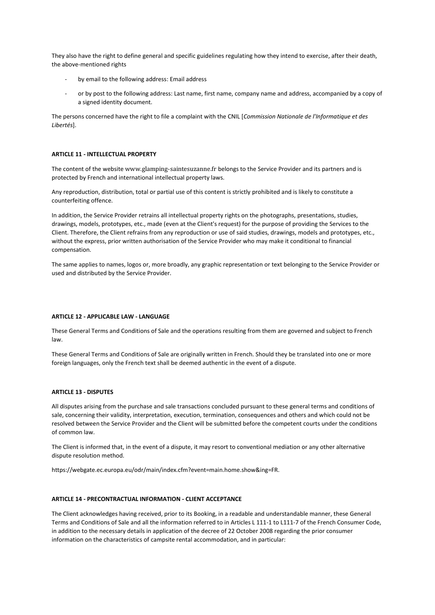They also have the right to define general and specific guidelines regulating how they intend to exercise, after their death, the above-mentioned rights

- by email to the following address: Email address
- or by post to the following address: Last name, first name, company name and address, accompanied by a copy of a signed identity document.

The persons concerned have the right to file a complaint with the CNIL [*Commission Nationale de l'Informatique et des Libertés*].

### **ARTICLE 11 - INTELLECTUAL PROPERTY**

The content of the website [www.glamping-saintesuzanne.fr](http://www.glamping-saintesuzanne.fr/) belongs to the Service Provider and its partners and is protected by French and international intellectual property laws.

Any reproduction, distribution, total or partial use of this content is strictly prohibited and is likely to constitute a counterfeiting offence.

In addition, the Service Provider retrains all intellectual property rights on the photographs, presentations, studies, drawings, models, prototypes, etc., made (even at the Client's request) for the purpose of providing the Services to the Client. Therefore, the Client refrains from any reproduction or use of said studies, drawings, models and prototypes, etc., without the express, prior written authorisation of the Service Provider who may make it conditional to financial compensation.

The same applies to names, logos or, more broadly, any graphic representation or text belonging to the Service Provider or used and distributed by the Service Provider.

## **ARTICLE 12 - APPLICABLE LAW - LANGUAGE**

These General Terms and Conditions of Sale and the operations resulting from them are governed and subject to French law.

These General Terms and Conditions of Sale are originally written in French. Should they be translated into one or more foreign languages, only the French text shall be deemed authentic in the event of a dispute.

### **ARTICLE 13 - DISPUTES**

All disputes arising from the purchase and sale transactions concluded pursuant to these general terms and conditions of sale, concerning their validity, interpretation, execution, termination, consequences and others and which could not be resolved between the Service Provider and the Client will be submitted before the competent courts under the conditions of common law.

The Client is informed that, in the event of a dispute, it may resort to conventional mediation or any other alternative dispute resolution method.

https://webgate.ec.europa.eu/odr/main/index.cfm?event=main.home.show&ing=FR.

# **ARTICLE 14 - PRECONTRACTUAL INFORMATION - CLIENT ACCEPTANCE**

The Client acknowledges having received, prior to its Booking, in a readable and understandable manner, these General Terms and Conditions of Sale and all the information referred to in Articles L 111-1 to L111-7 of the French Consumer Code, in addition to the necessary details in application of the decree of 22 October 2008 regarding the prior consumer information on the characteristics of campsite rental accommodation, and in particular: